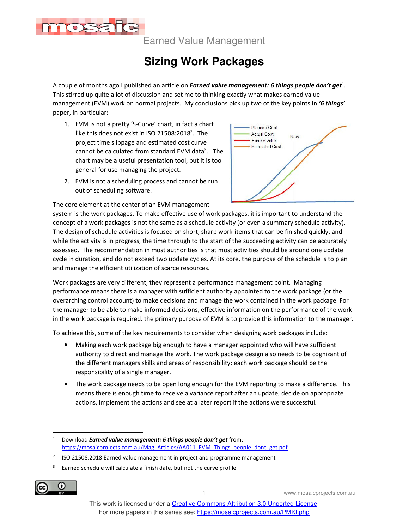

Earned Value Management

# **Sizing Work Packages**

A couple of months ago I published an article on *Earned value management: 6 things people don't get*<sup>1</sup>. This stirred up quite a lot of discussion and set me to thinking exactly what makes earned value management (EVM) work on normal projects. My conclusions pick up two of the key points in *'6 things'* paper, in particular:

- 1. EVM is not a pretty 'S-Curve' chart, in fact a chart like this does not exist in ISO 21508:2018<sup>2</sup>. The project time slippage and estimated cost curve cannot be calculated from standard EVM data<sup>3</sup>. The chart may be a useful presentation tool, but it is too general for use managing the project.
- 2. EVM is not a scheduling process and cannot be run out of scheduling software.



The core element at the center of an EVM management

system is the work packages. To make effective use of work packages, it is important to understand the concept of a work packages is not the same as a schedule activity (or even a summary schedule activity). The design of schedule activities is focused on short, sharp work-items that can be finished quickly, and while the activity is in progress, the time through to the start of the succeeding activity can be accurately assessed. The recommendation in most authorities is that most activities should be around one update cycle in duration, and do not exceed two update cycles. At its core, the purpose of the schedule is to plan and manage the efficient utilization of scarce resources.

Work packages are very different, they represent a performance management point. Managing performance means there is a manager with sufficient authority appointed to the work package (or the overarching control account) to make decisions and manage the work contained in the work package. For the manager to be able to make informed decisions, effective information on the performance of the work in the work package is required. the primary purpose of EVM is to provide this information to the manager.

To achieve this, some of the key requirements to consider when designing work packages include:

- Making each work package big enough to have a manager appointed who will have sufficient authority to direct and manage the work. The work package design also needs to be cognizant of the different managers skills and areas of responsibility; each work package should be the responsibility of a single manager.
- The work package needs to be open long enough for the EVM reporting to make a difference. This means there is enough time to receive a variance report after an update, decide on appropriate actions, implement the actions and see at a later report if the actions were successful.

<sup>3</sup> Earned schedule will calculate a finish date, but not the curve profile.



1 www.mosaicprojects.com.au

<sup>1</sup> Download *Earned value management: 6 things people don't get* from: https://mosaicprojects.com.au/Mag\_Articles/AA011\_EVM\_Things\_people\_dont\_get.pdf

<sup>2</sup> ISO 21508:2018 Earned value management in project and programme management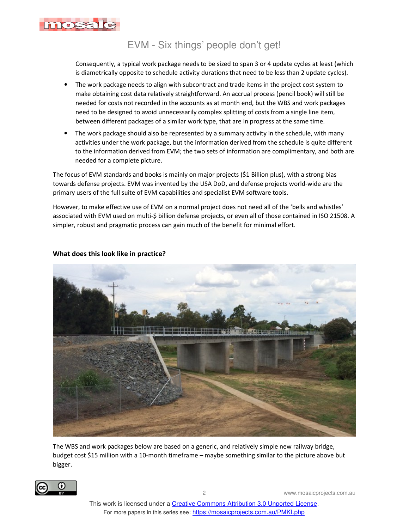

### EVM - Six things' people don't get!

Consequently, a typical work package needs to be sized to span 3 or 4 update cycles at least (which is diametrically opposite to schedule activity durations that need to be less than 2 update cycles).

- The work package needs to align with subcontract and trade items in the project cost system to make obtaining cost data relatively straightforward. An accrual process (pencil book) will still be needed for costs not recorded in the accounts as at month end, but the WBS and work packages need to be designed to avoid unnecessarily complex splitting of costs from a single line item, between different packages of a similar work type, that are in progress at the same time.
- The work package should also be represented by a summary activity in the schedule, with many activities under the work package, but the information derived from the schedule is quite different to the information derived from EVM; the two sets of information are complimentary, and both are needed for a complete picture.

The focus of EVM standards and books is mainly on major projects (\$1 Billion plus), with a strong bias towards defense projects. EVM was invented by the USA DoD, and defense projects world-wide are the primary users of the full suite of EVM capabilities and specialist EVM software tools.

However, to make effective use of EVM on a normal project does not need all of the 'bells and whistles' associated with EVM used on multi-\$ billion defense projects, or even all of those contained in ISO 21508. A simpler, robust and pragmatic process can gain much of the benefit for minimal effort.



#### **What does this look like in practice?**

The WBS and work packages below are based on a generic, and relatively simple new railway bridge, budget cost \$15 million with a 10-month timeframe – maybe something similar to the picture above but bigger.



2 www.mosaicprojects.com.au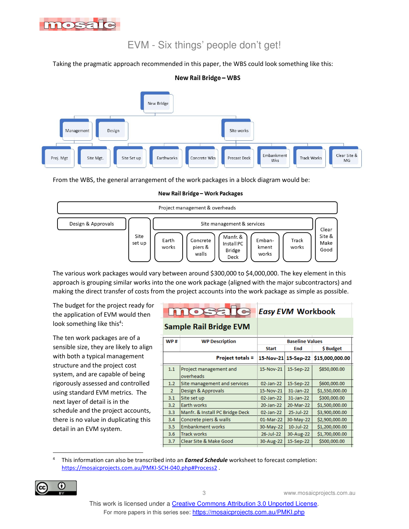

## EVM - Six things' people don't get!

Taking the pragmatic approach recommended in this paper, the WBS could look something like this:



#### **New Rail Bridge - WBS**

From the WBS, the general arrangement of the work packages in a block diagram would be:

New Rail Bridge - Work Packages



The various work packages would vary between around \$300,000 to \$4,000,000. The key element in this approach is grouping similar works into the one work package (aligned with the major subcontractors) and making the direct transfer of costs from the project accounts into the work package as simple as possible.

The budget for the project ready for the application of EVM would then look something like this<sup>4</sup>:

The ten work packages are of a sensible size, they are likely to align with both a typical management structure and the project cost system, and are capable of being rigorously assessed and controlled using standard EVM metrics. The next layer of detail is in the schedule and the project accounts, there is no value in duplicating this detail in an EVM system.

#### **C** Easy EVM Workbook **INCO**

### **Sample Rail Bridge EVM**

| WP#              | <b>WP Description</b>               |              | <b>Baseline Values</b> |                                     |  |
|------------------|-------------------------------------|--------------|------------------------|-------------------------------------|--|
|                  |                                     | <b>Start</b> | End                    | \$Budget                            |  |
|                  | Project totals =                    |              |                        | 15-Nov-21 15-Sep-22 \$15,000,000.00 |  |
| 1.1              | Project management and<br>overheads | 15-Nov-21    | 15-Sep-22              | \$850,000.00                        |  |
| 1.2 <sub>2</sub> | Site management and services        | 02-Jan-22    | 15-Sep-22              | \$600,000.00                        |  |
| $\overline{2}$   | Design & Approvals                  | 15-Nov-21    | 31-Jan-22              | \$1,550,000.00                      |  |
| 3.1              | Site set up                         | 02-Jan-22    | 31-Jan-22              | \$300,000.00                        |  |
| 3.2              | <b>Earth works</b>                  | 20-Jan-22    | 20-Mar-22              | \$1,500,000.00                      |  |
| 3.3 <sub>1</sub> | Manfr. & Install PC Bridge Deck     | 02-Jan-22    | 25-Jul-22              | \$3,900,000.00                      |  |
| 3.4              | Concrete piers & walls              | 01-Mar-22    | 30-May-22              | \$2,900,000.00                      |  |
| 3.5              | <b>Embankment works</b>             | 30-May-22    | 10-Jul-22              | \$1,200,000.00                      |  |
| $3.6^{\circ}$    | <b>Track works</b>                  | 26-Jul-22    | 30-Aug-22              | \$1,700,000.00                      |  |
| 3.7              | Clear Site & Make Good              | 30-Aug-22    | 15-Sep-22              | \$500,000.00                        |  |
|                  |                                     |              |                        |                                     |  |

4 This information can also be transcribed into an *Earned Schedule* worksheet to forecast completion: https://mosaicprojects.com.au/PMKI-SCH-040.php#Process2 .